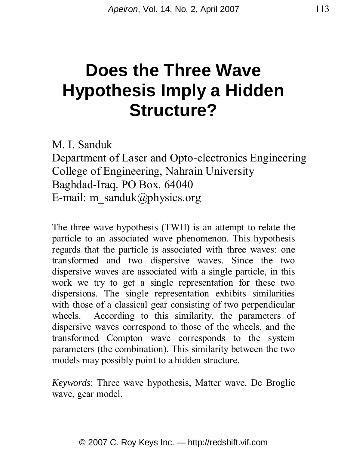# **Does the Three Wave Hypothesis Imply a Hidden Structure?**

M. I. Sanduk

Department of Laser and Opto-electronics Engineering College of Engineering, Nahrain University Baghdad-Iraq. PO Box. 64040 E-mail: m\_sanduk@physics.org

The three wave hypothesis (TWH) is an attempt to relate the particle to an associated wave phenomenon. This hypothesis regards that the particle is associated with three waves: one transformed and two dispersive waves. Since the two dispersive waves are associated with a single particle, in this work we try to get a single representation for these two dispersions. The single representation exhibits similarities with those of a classical gear consisting of two perpendicular wheels. According to this similarity, the parameters of dispersive waves correspond to those of the wheels, and the transformed Compton wave corresponds to the system parameters (the combination). This similarity between the two models may possibly point to a hidden structure.

*Keywords*: Three wave hypothesis, Matter wave, De Broglie wave, gear model.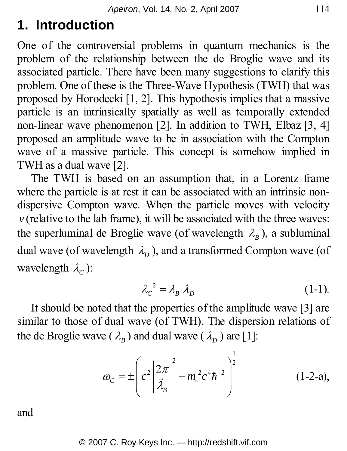## **1. Introduction**

One of the controversial problems in quantum mechanics is the problem of the relationship between the de Broglie wave and its associated particle. There have been many suggestions to clarify this problem. One of these is the Three-Wave Hypothesis (TWH) that was proposed by Horodecki [1, 2]. This hypothesis implies that a massive particle is an intrinsically spatially as well as temporally extended non-linear wave phenomenon [2]. In addition to TWH, Elbaz [3, 4] proposed an amplitude wave to be in association with the Compton wave of a massive particle. This concept is somehow implied in TWH as a dual wave [2].

The TWH is based on an assumption that, in a Lorentz frame where the particle is at rest it can be associated with an intrinsic nondispersive Compton wave. When the particle moves with velocity  $\nu$  (relative to the lab frame), it will be associated with the three waves: the superluminal de Broglie wave (of wavelength  $\lambda_{B}$ ), a subluminal dual wave (of wavelength  $\lambda$ <sub>n</sub>), and a transformed Compton wave (of wavelength  $\lambda_c$ ):

$$
\lambda_c^2 = \lambda_B \lambda_D \tag{1-1}
$$

It should be noted that the properties of the amplitude wave [3] are similar to those of dual wave (of TWH). The dispersion relations of the de Broglie wave ( $\lambda_B$ ) and dual wave ( $\lambda_D$ ) are [1]:

$$
\omega_{C} = \pm \left( c^{2} \left| \frac{2\pi}{\vec{\lambda}_{B}} \right|^{2} + m_{\circ}^{2} c^{4} \hbar^{-2} \right)^{\frac{1}{2}}
$$
(1-2-a),

and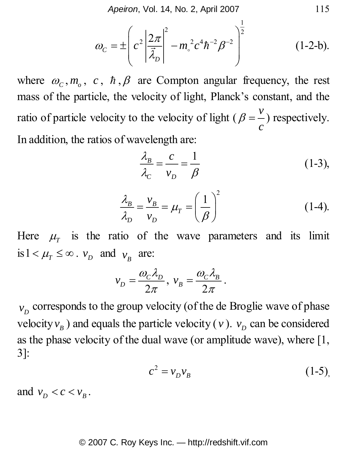*Apeiron*, Vol. 14, No. 2, April 2007 115

$$
\omega_c = \pm \left( c^2 \left| \frac{2\pi}{\vec{\lambda}_D} \right|^2 - m_e^2 c^4 \hbar^{-2} \beta^{-2} \right)^{\frac{1}{2}} \tag{1-2-b}.
$$

where  $\omega_c$ ,  $m_a$ ,  $c$ ,  $\hbar$ ,  $\beta$  are Compton angular frequency, the rest mass of the particle, the velocity of light, Planck's constant, and the ratio of particle velocity to the velocity of light ( $\beta = \frac{v}{x}$ *c*  $\beta = -$ ) respectively. In addition, the ratios of wavelength are:

$$
\frac{\lambda_B}{\lambda_C} = \frac{c}{v_D} = \frac{1}{\beta} \tag{1-3},
$$

$$
\frac{\lambda_B}{\lambda_D} = \frac{v_B}{v_D} = \mu_T = \left(\frac{1}{\beta}\right)^2 \tag{1-4}.
$$

Here  $\mu$ <sub>*T*</sub> is the ratio of the wave parameters and its limit is  $1 < \mu_T \leq \infty$ .  $v_D$  and  $v_B$  are:

$$
v_D = \frac{\omega_C \lambda_D}{2\pi}, \ v_B = \frac{\omega_C \lambda_B}{2\pi}.
$$

 $v_p$  corresponds to the group velocity (of the de Broglie wave of phase velocity  $v_B$ ) and equals the particle velocity (*v*).  $v_D$  can be considered as the phase velocity of the dual wave (or amplitude wave), where [1, 3]:

$$
c^2 = v_D v_B \tag{1-5}
$$

and  $v_p < c < v_p$ .

#### © 2007 C. Roy Keys Inc. — http://redshift.vif.com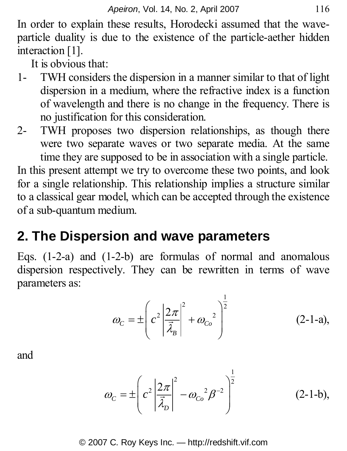In order to explain these results, Horodecki assumed that the waveparticle duality is due to the existence of the particle-aether hidden interaction [1].

It is obvious that:

- 1- TWH considers the dispersion in a manner similar to that of light dispersion in a medium, where the refractive index is a function of wavelength and there is no change in the frequency. There is no justification for this consideration.
- 2- TWH proposes two dispersion relationships, as though there were two separate waves or two separate media. At the same time they are supposed to be in association with a single particle.

In this present attempt we try to overcome these two points, and look for a single relationship. This relationship implies a structure similar to a classical gear model, which can be accepted through the existence of a sub-quantum medium.

## **2. The Dispersion and wave parameters**

Eqs. (1-2-a) and (1-2-b) are formulas of normal and anomalous dispersion respectively. They can be rewritten in terms of wave parameters as:

$$
\omega_C = \pm \left( c^2 \left| \frac{2\pi}{\vec{\lambda}_B} \right|^2 + \omega_{Co}^2 \right)^{\frac{1}{2}} \tag{2-1-a},
$$

and

$$
\omega_{C} = \pm \left( c^{2} \left| \frac{2\pi}{\vec{\lambda}_{D}} \right|^{2} - \omega_{Co}^{2} \beta^{-2} \right)^{\frac{1}{2}}
$$
(2-1-b),

#### © 2007 C. Roy Keys Inc. — http://redshift.vif.com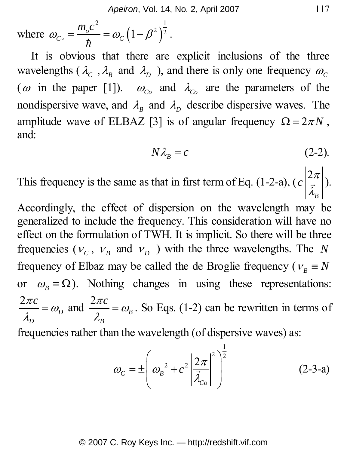where 
$$
\omega_{C_0} = \frac{m_o c^2}{\hbar} = \omega_C (1 - \beta^2)^{\frac{1}{2}}
$$
.

It is obvious that there are explicit inclusions of the three wavelengths ( $\lambda_c$ ,  $\lambda_B$  and  $\lambda_D$ ), and there is only one frequency  $\omega_c$ ( $\omega$  in the paper [1]).  $\omega_{C_0}$  and  $\lambda_{C_0}$  are the parameters of the nondispersive wave, and  $\lambda_B$  and  $\lambda_D$  describe dispersive waves. The amplitude wave of ELBAZ [3] is of angular frequency  $\Omega = 2\pi N$ , and:

$$
N\lambda_{B} = c \tag{2-2}.
$$

This frequency is the same as that in first term of Eq. (1-2-a),  $\left( c \right)$ *B*  $c \left| \frac{2\pi}{7} \right|$  $\frac{2\pi}{\vec{\lambda}_n}$ ).

Accordingly, the effect of dispersion on the wavelength may be generalized to include the frequency. This consideration will have no effect on the formulation of TWH. It is implicit. So there will be three frequencies ( $v_c$ ,  $v_B$  and  $v_D$ ) with the three wavelengths. The *N* frequency of Elbaz may be called the de Broglie frequency ( $v_B \equiv N$ or  $\omega_B \equiv \Omega$ ). Nothing changes in using these representations: 2 *D D*  $\frac{\pi c}{\mu} = \omega$  $\frac{2\pi c}{\lambda_p} = \omega_b$  and  $\frac{2\pi c}{\lambda_p} = \omega_b$ *B*  $\frac{\partial \pi c}{\partial x} = \omega_B$ . So Eqs. (1-2) can be rewritten in terms of frequencies rather than the wavelength (of dispersive waves) as:

$$
\omega_C = \pm \left( \omega_B^2 + c^2 \left| \frac{2\pi}{\vec{\lambda}_{Co}} \right|^2 \right)^{\frac{1}{2}}
$$
 (2-3-a)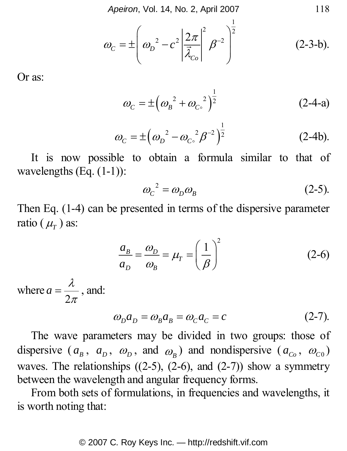*Apeiron*, Vol. 14, No. 2, April 2007 118

$$
\omega_c = \pm \left( \omega_D^2 - c^2 \left| \frac{2\pi}{\bar{\lambda}_{co}} \right|^2 \beta^{-2} \right)^{\frac{1}{2}}
$$
 (2-3-b).

Or as:

$$
\omega_C = \pm \left(\omega_B^2 + {\omega_{C_0}}^2\right)^{\frac{1}{2}}
$$
 (2-4-a)

$$
\omega_C = \pm \left(\omega_D^2 - {\omega_{C_0}}^2 \beta^{-2}\right)^{\frac{1}{2}} \tag{2-4b}.
$$

It is now possible to obtain a formula similar to that of wavelengths (Eq. (1-1)):

$$
\omega_c^2 = \omega_D \omega_B \tag{2-5}
$$

Then Eq. (1-4) can be presented in terms of the dispersive parameter ratio  $(\mu_\tau)$  as:

$$
\frac{a_B}{a_D} = \frac{\omega_D}{\omega_B} = \mu_T = \left(\frac{1}{\beta}\right)^2 \tag{2-6}
$$

where 2  $a = \frac{\lambda}{2\pi}$ , and:

$$
\omega_D a_D = \omega_B a_B = \omega_C a_C = c \tag{2-7}.
$$

The wave parameters may be divided in two groups: those of dispersive  $(a_B, a_B, \omega_B, \text{ and } \omega_B)$  and nondispersive  $(a_{C_0}, \omega_{C_0})$ waves. The relationships  $((2-5), (2-6),$  and  $(2-7))$  show a symmetry between the wavelength and angular frequency forms.

From both sets of formulations, in frequencies and wavelengths, it is worth noting that: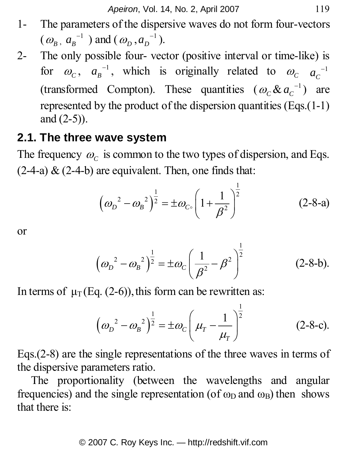- 1- The parameters of the dispersive waves do not form four-vectors  $(\omega_B, \alpha_B^{-1})$  and  $(\omega_D, \alpha_D^{-1})$ .
- 2- The only possible four- vector (positive interval or time-like) is for  $\omega_c$ ,  $a_B^{-1}$ , which is originally related to  $\omega_c$   $a_c^{-1}$ (transformed Compton). These quantities  $(\omega_c \& \alpha_c^{-1})$  are represented by the product of the dispersion quantities (Eqs.(1-1) and (2-5)).

### **2.1. The three wave system**

The frequency  $\omega_c$  is common to the two types of dispersion, and Eqs.  $(2-4-a)$  &  $(2-4-b)$  are equivalent. Then, one finds that:

$$
\left(\omega_D^2 - \omega_B^2\right)^{\frac{1}{2}} = \pm \omega_{C\circ} \left(1 + \frac{1}{\beta^2}\right)^{\frac{1}{2}}
$$
 (2-8-a)

or

$$
\left(\omega_D^2 - \omega_B^2\right)^{\frac{1}{2}} = \pm \omega_C \left(\frac{1}{\beta^2} - \beta^2\right)^{\frac{1}{2}} \tag{2-8-b}.
$$

In terms of  $\mu$ <sub>T</sub> (Eq. (2-6)), this form can be rewritten as:

$$
\left(\omega_D^2 - \omega_B^2\right)^{\frac{1}{2}} = \pm \omega_C \left(\mu_T - \frac{1}{\mu_T}\right)^{\frac{1}{2}} \tag{2-8-c}.
$$

Eqs.(2-8) are the single representations of the three waves in terms of the dispersive parameters ratio.

The proportionality (between the wavelengths and angular frequencies) and the single representation (of  $\omega_D$  and  $\omega_B$ ) then shows that there is: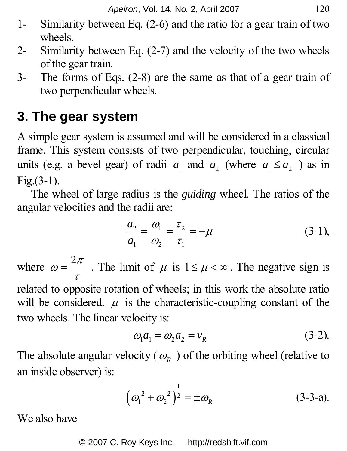- 1- Similarity between Eq. (2-6) and the ratio for a gear train of two wheels.
- 2- Similarity between Eq. (2-7) and the velocity of the two wheels of the gear train.
- 3- The forms of Eqs. (2-8) are the same as that of a gear train of two perpendicular wheels.

## **3. The gear system**

A simple gear system is assumed and will be considered in a classical frame. This system consists of two perpendicular, touching, circular units (e.g. a bevel gear) of radii  $a_1$  and  $a_2$  (where  $a_1 \le a_2$ ) as in  $Fig. (3-1).$ 

The wheel of large radius is the *guiding* wheel. The ratios of the angular velocities and the radii are:

$$
\frac{a_2}{a_1} = \frac{\omega_1}{\omega_2} = \frac{\tau_2}{\tau_1} = -\mu
$$
 (3-1),

where  $\omega = \frac{2\pi}{\tau}$ . The limit of  $\mu$  is  $1 \le \mu < \infty$ . The negative sign is related to opposite rotation of wheels; in this work the absolute ratio will be considered.  $\mu$  is the characteristic-coupling constant of the two wheels. The linear velocity is:

$$
\omega_1 a_1 = \omega_2 a_2 = v_R \tag{3-2}
$$

The absolute angular velocity ( $\omega_R$ ) of the orbiting wheel (relative to an inside observer) is:

$$
\left(\omega_1^2 + \omega_2^2\right)^{\frac{1}{2}} = \pm \omega_R \tag{3-3-a}.
$$

We also have

#### © 2007 C. Roy Keys Inc. — http://redshift.vif.com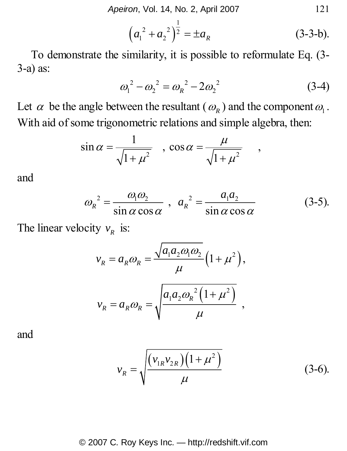$$
\left(a_1^2 + a_2^2\right)^{\frac{1}{2}} = \pm a_R
$$
 (3-3-b).

To demonstrate the similarity, it is possible to reformulate Eq. (3- 3-a) as:

$$
\omega_1^2 - \omega_2^2 = \omega_R^2 - 2\omega_2^2 \tag{3-4}
$$

Let  $\alpha$  be the angle between the resultant ( $\omega_R$ ) and the component  $\omega_1$ . With aid of some trigonometric relations and simple algebra, then:

$$
\sin \alpha = \frac{1}{\sqrt{1 + \mu^2}} \quad , \quad \cos \alpha = \frac{\mu}{\sqrt{1 + \mu^2}} \quad ,
$$

and

$$
\omega_R^2 = \frac{\omega_1 \omega_2}{\sin \alpha \cos \alpha} , \quad a_R^2 = \frac{a_1 a_2}{\sin \alpha \cos \alpha} \tag{3-5}
$$

The linear velocity  $v_R$  is:

$$
v_R = a_R \omega_R = \frac{\sqrt{a_1 a_2 \omega_1 \omega_2}}{\mu} \left(1 + \mu^2\right),
$$
  

$$
v_R = a_R \omega_R = \sqrt{\frac{a_1 a_2 \omega_R^2 \left(1 + \mu^2\right)}{\mu}} ,
$$

and

$$
v_R = \sqrt{\frac{(v_{1R}v_{2R})(1+\mu^2)}{\mu}}
$$
 (3-6).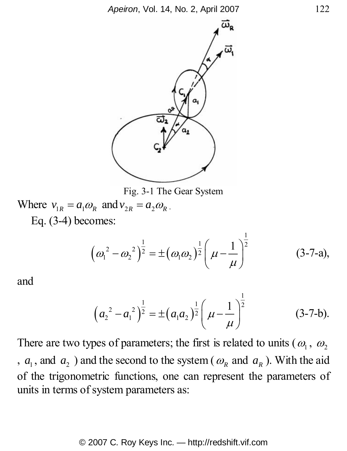

Fig. 3-1 The Gear System

Where  $v_{1R} = a_1 \omega_R$  and  $v_{2R} = a_2 \omega_R$ . Eq. (3-4) becomes:

$$
\left(\omega_1^2 - \omega_2^2\right)^{\frac{1}{2}} = \pm \left(\omega_1 \omega_2\right)^{\frac{1}{2}} \left(\mu - \frac{1}{\mu}\right)^{\frac{1}{2}} \tag{3-7-a},
$$

and

$$
\left(a_2^2 - a_1^2\right)^{\frac{1}{2}} = \pm \left(a_1 a_2\right)^{\frac{1}{2}} \left(\mu - \frac{1}{\mu}\right)^{\frac{1}{2}} \tag{3-7-b}.
$$

There are two types of parameters; the first is related to units ( $\omega_1$ ,  $\omega_2$ ) ,  $a_1$ , and  $a_2$ ) and the second to the system ( $\omega_R$  and  $a_R$ ). With the aid of the trigonometric functions, one can represent the parameters of units in terms of system parameters as: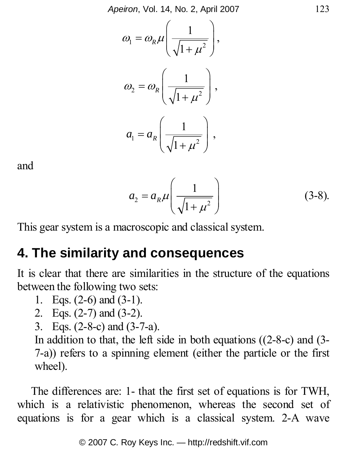*Apeiron*, Vol. 14, No. 2, April 2007 123

$$
\omega_1 = \omega_R \mu \left( \frac{1}{\sqrt{1 + \mu^2}} \right),
$$
  

$$
\omega_2 = \omega_R \left( \frac{1}{\sqrt{1 + \mu^2}} \right),
$$
  

$$
a_1 = a_R \left( \frac{1}{\sqrt{1 + \mu^2}} \right),
$$

and

$$
a_2 = a_R \mu \left(\frac{1}{\sqrt{1 + \mu^2}}\right) \tag{3-8}.
$$

This gear system is a macroscopic and classical system.

### **4. The similarity and consequences**

It is clear that there are similarities in the structure of the equations between the following two sets:

- 1. Eqs. (2-6) and (3-1).
- 2. Eqs. (2-7) and (3-2).
- 3. Eqs. (2-8-c) and (3-7-a).

In addition to that, the left side in both equations ((2-8-c) and (3- 7-a)) refers to a spinning element (either the particle or the first wheel).

The differences are: 1- that the first set of equations is for TWH, which is a relativistic phenomenon, whereas the second set of equations is for a gear which is a classical system. 2-A wave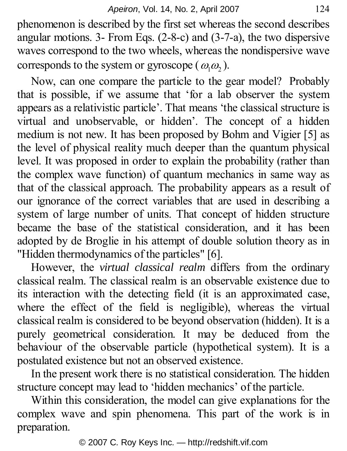phenomenon is described by the first set whereas the second describes angular motions. 3- From Eqs. (2-8-c) and (3-7-a), the two dispersive waves correspond to the two wheels, whereas the nondispersive wave corresponds to the system or gyroscope ( $\omega_1 \omega_2$ ).

Now, can one compare the particle to the gear model? Probably that is possible, if we assume that 'for a lab observer the system appears as a relativistic particle'. That means 'the classical structure is virtual and unobservable, or hidden'. The concept of a hidden medium is not new. It has been proposed by Bohm and Vigier [5] as the level of physical reality much deeper than the quantum physical level. It was proposed in order to explain the probability (rather than the complex wave function) of quantum mechanics in same way as that of the classical approach. The probability appears as a result of our ignorance of the correct variables that are used in describing a system of large number of units. That concept of hidden structure became the base of the statistical consideration, and it has been adopted by de Broglie in his attempt of double solution theory as in "Hidden thermodynamics of the particles" [6].

However, the *virtual classical realm* differs from the ordinary classical realm. The classical realm is an observable existence due to its interaction with the detecting field (it is an approximated case, where the effect of the field is negligible), whereas the virtual classical realm is considered to be beyond observation (hidden). It is a purely geometrical consideration. It may be deduced from the behaviour of the observable particle (hypothetical system). It is a postulated existence but not an observed existence.

In the present work there is no statistical consideration. The hidden structure concept may lead to 'hidden mechanics' of the particle.

Within this consideration, the model can give explanations for the complex wave and spin phenomena. This part of the work is in preparation.